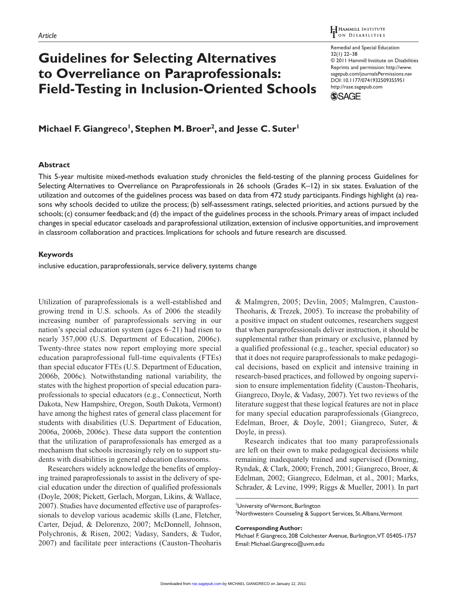H HAMMILL INSTITUTE L<br>On Disabilities

# **Guidelines for Selecting Alternatives to Overreliance on Paraprofessionals: Field-Testing in Inclusion-Oriented Schools**

Remedial and Special Education 32(1) 22–38 © 2011 Hammill Institute on Disabilities Reprints and permission: http://www. sagepub.com/journalsPermissions.nav DOI: 10.1177/0741932509355951 http://rase.sagepub.com



Michael F. Giangreco<sup>1</sup>, Stephen M. Broer<sup>2</sup>, and Jesse C. Suter<sup>1</sup>

### **Abstract**

This 5-year multisite mixed-methods evaluation study chronicles the field-testing of the planning process Guidelines for Selecting Alternatives to Overreliance on Paraprofessionals in 26 schools (Grades K–12) in six states. Evaluation of the utilization and outcomes of the guidelines process was based on data from 472 study participants. Findings highlight (a) reasons why schools decided to utilize the process; (b) self-assessment ratings, selected priorities, and actions pursued by the schools; (c) consumer feedback; and (d) the impact of the guidelines process in the schools. Primary areas of impact included changes in special educator caseloads and paraprofessional utilization, extension of inclusive opportunities, and improvement in classroom collaboration and practices. Implications for schools and future research are discussed.

### **Keywords**

inclusive education, paraprofessionals, service delivery, systems change

Utilization of paraprofessionals is a well-established and growing trend in U.S. schools. As of 2006 the steadily increasing number of paraprofessionals serving in our nation's special education system (ages 6–21) had risen to nearly 357,000 (U.S. Department of Education, 2006c). Twenty-three states now report employing more special education paraprofessional full-time equivalents (FTEs) than special educator FTEs (U.S. Department of Education, 2006b, 2006c). Notwithstanding national variability, the states with the highest proportion of special education paraprofessionals to special educators (e.g., Connecticut, North Dakota, New Hampshire, Oregon, South Dakota, Vermont) have among the highest rates of general class placement for students with disabilities (U.S. Department of Education, 2006a, 2006b, 2006c). These data support the contention that the utilization of paraprofessionals has emerged as a mechanism that schools increasingly rely on to support students with disabilities in general education classrooms.

Researchers widely acknowledge the benefits of employing trained paraprofessionals to assist in the delivery of special education under the direction of qualified professionals (Doyle, 2008; Pickett, Gerlach, Morgan, Likins, & Wallace, 2007). Studies have documented effective use of paraprofessionals to develop various academic skills (Lane, Fletcher, Carter, Dejud, & Delorenzo, 2007; McDonnell, Johnson, Polychronis, & Risen, 2002; Vadasy, Sanders, & Tudor, 2007) and facilitate peer interactions (Causton-Theoharis & Malmgren, 2005; Devlin, 2005; Malmgren, Causton-Theoharis, & Trezek, 2005). To increase the probability of a positive impact on student outcomes, researchers suggest that when paraprofessionals deliver instruction, it should be supplemental rather than primary or exclusive, planned by a qualified professional (e.g., teacher, special educator) so that it does not require paraprofessionals to make pedagogical decisions, based on explicit and intensive training in research-based practices, and followed by ongoing supervision to ensure implementation fidelity (Causton-Theoharis, Giangreco, Doyle, & Vadasy, 2007). Yet two reviews of the literature suggest that these logical features are not in place for many special education paraprofessionals (Giangreco, Edelman, Broer, & Doyle, 2001; Giangreco, Suter, & Doyle, in press).

Research indicates that too many paraprofessionals are left on their own to make pedagogical decisions while remaining inadequately trained and supervised (Downing, Ryndak, & Clark, 2000; French, 2001; Giangreco, Broer, & Edelman, 2002; Giangreco, Edelman, et al., 2001; Marks, Schrader, & Levine, 1999; Riggs & Mueller, 2001). In part

<sup>2</sup>Northwestern Counseling & Support Services, St. Albans, Vermont

#### **Corresponding Author:**

University of Vermont, Burlington

Michael F. Giangreco, 208 Colchester Avenue, Burlington, VT 05405-1757 Email: Michael.Giangreco@uvm.edu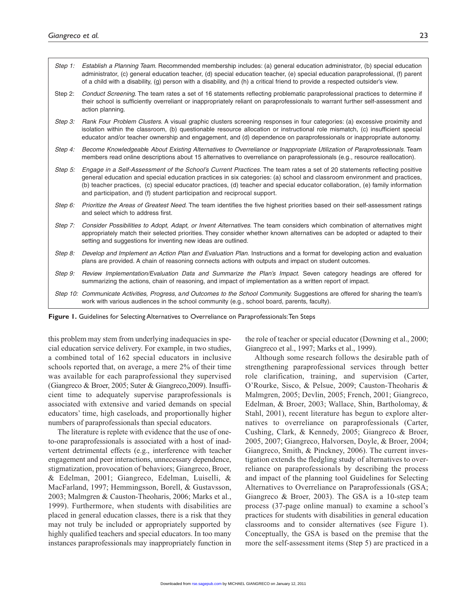|         | Step 1: Establish a Planning Team. Recommended membership includes: (a) general education administrator, (b) special education<br>administrator, (c) general education teacher, (d) special education teacher, (e) special education paraprofessional, (f) parent<br>of a child with a disability, (g) person with a disability, and (h) a critical friend to provide a respected outsider's view.                                                                |
|---------|-------------------------------------------------------------------------------------------------------------------------------------------------------------------------------------------------------------------------------------------------------------------------------------------------------------------------------------------------------------------------------------------------------------------------------------------------------------------|
| Step 2: | Conduct Screening. The team rates a set of 16 statements reflecting problematic paraprofessional practices to determine if<br>their school is sufficiently overreliant or inappropriately reliant on paraprofessionals to warrant further self-assessment and<br>action planning.                                                                                                                                                                                 |
| Step 3: | Rank Four Problem Clusters. A visual graphic clusters screening responses in four categories: (a) excessive proximity and<br>isolation within the classroom, (b) questionable resource allocation or instructional role mismatch, (c) insufficient special<br>educator and/or teacher ownership and engagement, and (d) dependence on paraprofessionals or inappropriate autonomy.                                                                                |
| Step 4: | Become Knowledgeable About Existing Alternatives to Overreliance or Inappropriate Utilization of Paraprofessionals. Team<br>members read online descriptions about 15 alternatives to overreliance on paraprofessionals (e.g., resource reallocation).                                                                                                                                                                                                            |
| Step 5: | Engage in a Self-Assessment of the School's Current Practices. The team rates a set of 20 statements reflecting positive<br>general education and special education practices in six categories: (a) school and classroom environment and practices,<br>(b) teacher practices, (c) special educator practices, (d) teacher and special educator collaboration, (e) family information<br>and participation, and (f) student participation and reciprocal support. |
| Step 6: | Prioritize the Areas of Greatest Need. The team identifies the five highest priorities based on their self-assessment ratings<br>and select which to address first.                                                                                                                                                                                                                                                                                               |
| Step 7: | Consider Possibilities to Adopt, Adapt, or Invent Alternatives. The team considers which combination of alternatives might<br>appropriately match their selected priorities. They consider whether known alternatives can be adopted or adapted to their<br>setting and suggestions for inventing new ideas are outlined.                                                                                                                                         |
| Step 8: | Develop and Implement an Action Plan and Evaluation Plan. Instructions and a format for developing action and evaluation<br>plans are provided. A chain of reasoning connects actions with outputs and impact on student outcomes.                                                                                                                                                                                                                                |
| Step 9: | Review Implementation/Evaluation Data and Summarize the Plan's Impact. Seven category headings are offered for<br>summarizing the actions, chain of reasoning, and impact of implementation as a written report of impact.                                                                                                                                                                                                                                        |
|         | Step 10: Communicate Activities, Progress, and Outcomes to the School Community. Suggestions are offered for sharing the team's<br>work with various audiences in the school community (e.g., school board, parents, faculty).                                                                                                                                                                                                                                    |
|         | $\blacksquare$                                                                                                                                                                                                                                                                                                                                                                                                                                                    |

**Figure 1.** Guidelines for Selecting Alternatives to Overreliance on Paraprofessionals: Ten Steps

this problem may stem from underlying inadequacies in special education service delivery. For example, in two studies, a combined total of 162 special educators in inclusive schools reported that, on average, a mere 2% of their time was available for each paraprofessional they supervised (Giangreco & Broer, 2005; Suter & Giangreco,2009). Insufficient time to adequately supervise paraprofessionals is associated with extensive and varied demands on special educators' time, high caseloads, and proportionally higher numbers of paraprofessionals than special educators.

The literature is replete with evidence that the use of oneto-one paraprofessionals is associated with a host of inadvertent detrimental effects (e.g., interference with teacher engagement and peer interactions, unnecessary dependence, stigmatization, provocation of behaviors; Giangreco, Broer, & Edelman, 2001; Giangreco, Edelman, Luiselli, & MacFarland, 1997; Hemmingsson, Borell, & Gustavsson, 2003; Malmgren & Causton-Theoharis, 2006; Marks et al., 1999). Furthermore, when students with disabilities are placed in general education classes, there is a risk that they may not truly be included or appropriately supported by highly qualified teachers and special educators. In too many instances paraprofessionals may inappropriately function in

the role of teacher or special educator (Downing et al., 2000; Giangreco et al., 1997; Marks et al., 1999).

Although some research follows the desirable path of strengthening paraprofessional services through better role clarification, training, and supervision (Carter, O'Rourke, Sisco, & Pelsue, 2009; Causton-Theoharis & Malmgren, 2005; Devlin, 2005; French, 2001; Giangreco, Edelman, & Broer, 2003; Wallace, Shin, Bartholomay, & Stahl, 2001), recent literature has begun to explore alternatives to overreliance on paraprofessionals (Carter, Cushing, Clark, & Kennedy, 2005; Giangreco & Broer, 2005, 2007; Giangreco, Halvorsen, Doyle, & Broer, 2004; Giangreco, Smith, & Pinckney, 2006). The current investigation extends the fledgling study of alternatives to overreliance on paraprofessionals by describing the process and impact of the planning tool Guidelines for Selecting Alternatives to Overreliance on Paraprofessionals (GSA; Giangreco & Broer, 2003). The GSA is a 10-step team process (37-page online manual) to examine a school's practices for students with disabilities in general education classrooms and to consider alternatives (see Figure 1). Conceptually, the GSA is based on the premise that the more the self-assessment items (Step 5) are practiced in a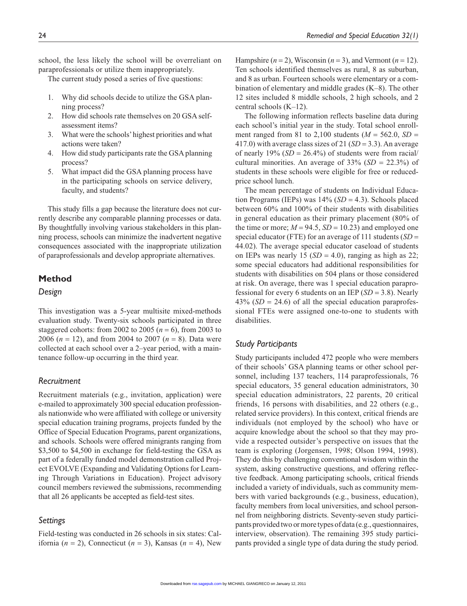school, the less likely the school will be overreliant on paraprofessionals or utilize them inappropriately.

The current study posed a series of five questions:

- 1. Why did schools decide to utilize the GSA planning process?
- 2. How did schools rate themselves on 20 GSA selfassessment items?
- 3. What were the schools' highest priorities and what actions were taken?
- 4. How did study participants rate the GSA planning process?
- 5. What impact did the GSA planning process have in the participating schools on service delivery, faculty, and students?

This study fills a gap because the literature does not currently describe any comparable planning processes or data. By thoughtfully involving various stakeholders in this planning process, schools can minimize the inadvertent negative consequences associated with the inappropriate utilization of paraprofessionals and develop appropriate alternatives.

### **Method**

### *Design*

This investigation was a 5-year multisite mixed-methods evaluation study. Twenty-six schools participated in three staggered cohorts: from 2002 to 2005 (*n* = 6), from 2003 to 2006 (*n* = 12), and from 2004 to 2007 (*n* = 8). Data were collected at each school over a 2–year period, with a maintenance follow-up occurring in the third year.

### *Recruitment*

Recruitment materials (e.g., invitation, application) were e-mailed to approximately 300 special education professionals nationwide who were affiliated with college or university special education training programs, projects funded by the Office of Special Education Programs, parent organizations, and schools. Schools were offered minigrants ranging from \$3,500 to \$4,500 in exchange for field-testing the GSA as part of a federally funded model demonstration called Project EVOLVE (Expanding and Validating Options for Learning Through Variations in Education). Project advisory council members reviewed the submissions, recommending that all 26 applicants be accepted as field-test sites.

### *Settings*

Field-testing was conducted in 26 schools in six states: California  $(n = 2)$ , Connecticut  $(n = 3)$ , Kansas  $(n = 4)$ , New Hampshire  $(n = 2)$ , Wisconsin  $(n = 3)$ , and Vermont  $(n = 12)$ . Ten schools identified themselves as rural, 8 as suburban, and 8 as urban. Fourteen schools were elementary or a combination of elementary and middle grades (K–8). The other 12 sites included 8 middle schools, 2 high schools, and 2 central schools (K–12).

The following information reflects baseline data during each school's initial year in the study. Total school enrollment ranged from 81 to 2,100 students ( $M = 562.0$ ,  $SD =$ 417.0) with average class sizes of 21 (*SD* = 3.3). An average of nearly  $19\%$  (*SD* = 26.4%) of students were from racial/ cultural minorities. An average of 33% (*SD* = 22.3%) of students in these schools were eligible for free or reducedprice school lunch.

The mean percentage of students on Individual Education Programs (IEPs) was 14% (*SD* = 4.3). Schools placed between 60% and 100% of their students with disabilities in general education as their primary placement (80% of the time or more;  $M = 94.5$ ,  $SD = 10.23$ ) and employed one special educator (FTE) for an average of 111 students (*SD* = 44.02). The average special educator caseload of students on IEPs was nearly 15  $(SD = 4.0)$ , ranging as high as 22; some special educators had additional responsibilities for students with disabilities on 504 plans or those considered at risk. On average, there was 1 special education paraprofessional for every 6 students on an IEP (*SD* = 3.8). Nearly  $43\%$  (*SD* = 24.6) of all the special education paraprofessional FTEs were assigned one-to-one to students with disabilities.

## *Study Participants*

Study participants included 472 people who were members of their schools' GSA planning teams or other school personnel, including 137 teachers, 114 paraprofessionals, 76 special educators, 35 general education administrators, 30 special education administrators, 22 parents, 20 critical friends, 16 persons with disabilities, and 22 others (e.g., related service providers). In this context, critical friends are individuals (not employed by the school) who have or acquire knowledge about the school so that they may provide a respected outsider's perspective on issues that the team is exploring (Jorgensen, 1998; Olson 1994, 1998). They do this by challenging conventional wisdom within the system, asking constructive questions, and offering reflective feedback. Among participating schools, critical friends included a variety of individuals, such as community members with varied backgrounds (e.g., business, education), faculty members from local universities, and school personnel from neighboring districts. Seventy-seven study participants provided two or more types of data (e.g., questionnaires, interview, observation). The remaining 395 study participants provided a single type of data during the study period.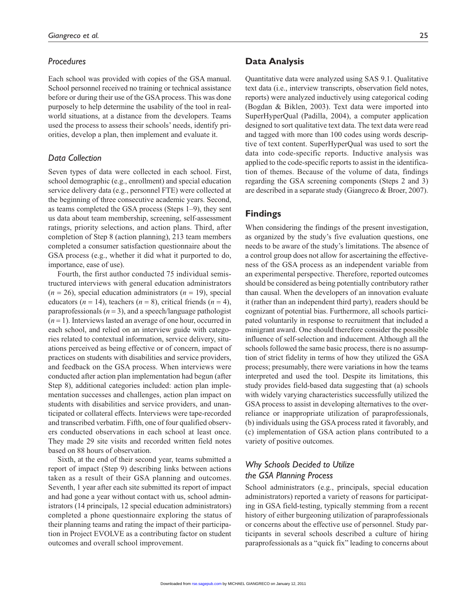# *Procedures*

Each school was provided with copies of the GSA manual. School personnel received no training or technical assistance before or during their use of the GSA process. This was done purposely to help determine the usability of the tool in realworld situations, at a distance from the developers. Teams used the process to assess their schools' needs, identify priorities, develop a plan, then implement and evaluate it.

# *Data Collection*

Seven types of data were collected in each school. First, school demographic (e.g., enrollment) and special education service delivery data (e.g., personnel FTE) were collected at the beginning of three consecutive academic years. Second, as teams completed the GSA process (Steps 1–9), they sent us data about team membership, screening, self-assessment ratings, priority selections, and action plans. Third, after completion of Step 8 (action planning), 213 team members completed a consumer satisfaction questionnaire about the GSA process (e.g., whether it did what it purported to do, importance, ease of use).

Fourth, the first author conducted 75 individual semistructured interviews with general education administrators  $(n = 26)$ , special education administrators  $(n = 19)$ , special educators ( $n = 14$ ), teachers ( $n = 8$ ), critical friends ( $n = 4$ ), paraprofessionals (*n* = 3), and a speech/language pathologist (*n* = 1). Interviews lasted an average of one hour, occurred in each school, and relied on an interview guide with categories related to contextual information, service delivery, situations perceived as being effective or of concern, impact of practices on students with disabilities and service providers, and feedback on the GSA process. When interviews were conducted after action plan implementation had begun (after Step 8), additional categories included: action plan implementation successes and challenges, action plan impact on students with disabilities and service providers, and unanticipated or collateral effects. Interviews were tape-recorded and transcribed verbatim. Fifth, one of four qualified observers conducted observations in each school at least once. They made 29 site visits and recorded written field notes based on 88 hours of observation.

Sixth, at the end of their second year, teams submitted a report of impact (Step 9) describing links between actions taken as a result of their GSA planning and outcomes. Seventh, 1 year after each site submitted its report of impact and had gone a year without contact with us, school administrators (14 principals, 12 special education administrators) completed a phone questionnaire exploring the status of their planning teams and rating the impact of their participation in Project EVOLVE as a contributing factor on student outcomes and overall school improvement.

# **Data Analysis**

Quantitative data were analyzed using SAS 9.1. Qualitative text data (i.e., interview transcripts, observation field notes, reports) were analyzed inductively using categorical coding (Bogdan & Biklen, 2003). Text data were imported into SuperHyperQual (Padilla, 2004), a computer application designed to sort qualitative text data. The text data were read and tagged with more than 100 codes using words descriptive of text content. SuperHyperQual was used to sort the data into code-specific reports. Inductive analysis was applied to the code-specific reports to assist in the identification of themes. Because of the volume of data, findings regarding the GSA screening components (Steps 2 and 3) are described in a separate study (Giangreco & Broer, 2007).

## **Findings**

When considering the findings of the present investigation, as organized by the study's five evaluation questions, one needs to be aware of the study's limitations. The absence of a control group does not allow for ascertaining the effectiveness of the GSA process as an independent variable from an experimental perspective. Therefore, reported outcomes should be considered as being potentially contributory rather than causal. When the developers of an innovation evaluate it (rather than an independent third party), readers should be cognizant of potential bias. Furthermore, all schools participated voluntarily in response to recruitment that included a minigrant award. One should therefore consider the possible influence of self-selection and inducement. Although all the schools followed the same basic process, there is no assumption of strict fidelity in terms of how they utilized the GSA process; presumably, there were variations in how the teams interpreted and used the tool. Despite its limitations, this study provides field-based data suggesting that (a) schools with widely varying characteristics successfully utilized the GSA process to assist in developing alternatives to the overreliance or inappropriate utilization of paraprofessionals, (b) individuals using the GSA process rated it favorably, and (c) implementation of GSA action plans contributed to a variety of positive outcomes.

# *Why Schools Decided to Utilize the GSA Planning Process*

School administrators (e.g., principals, special education administrators) reported a variety of reasons for participating in GSA field-testing, typically stemming from a recent history of either burgeoning utilization of paraprofessionals or concerns about the effective use of personnel. Study participants in several schools described a culture of hiring paraprofessionals as a "quick fix" leading to concerns about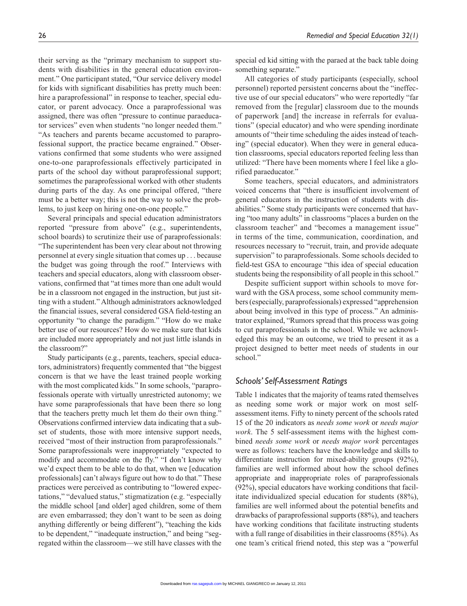their serving as the "primary mechanism to support students with disabilities in the general education environment." One participant stated, "Our service delivery model for kids with significant disabilities has pretty much been: hire a paraprofessional" in response to teacher, special educator, or parent advocacy. Once a paraprofessional was assigned, there was often "pressure to continue paraeducator services" even when students "no longer needed them." "As teachers and parents became accustomed to paraprofessional support, the practice became engrained." Observations confirmed that some students who were assigned one-to-one paraprofessionals effectively participated in parts of the school day without paraprofessional support; sometimes the paraprofessional worked with other students during parts of the day. As one principal offered, "there must be a better way; this is not the way to solve the problems, to just keep on hiring one-on-one people."

Several principals and special education administrators reported "pressure from above" (e.g., superintendents, school boards) to scrutinize their use of paraprofessionals: "The superintendent has been very clear about not throwing personnel at every single situation that comes up . . . because the budget was going through the roof." Interviews with teachers and special educators, along with classroom observations, confirmed that "at times more than one adult would be in a classroom not engaged in the instruction, but just sitting with a student." Although administrators acknowledged the financial issues, several considered GSA field-testing an opportunity "to change the paradigm." "How do we make better use of our resources? How do we make sure that kids are included more appropriately and not just little islands in the classroom?"

Study participants (e.g., parents, teachers, special educators, administrators) frequently commented that "the biggest concern is that we have the least trained people working with the most complicated kids." In some schools, "paraprofessionals operate with virtually unrestricted autonomy; we have some paraprofessionals that have been there so long that the teachers pretty much let them do their own thing." Observations confirmed interview data indicating that a subset of students, those with more intensive support needs, received "most of their instruction from paraprofessionals." Some paraprofessionals were inappropriately "expected to modify and accommodate on the fly." "I don't know why we'd expect them to be able to do that, when we [education professionals] can't always figure out how to do that." These practices were perceived as contributing to "lowered expectations," "devalued status," stigmatization (e.g. "especially the middle school [and older] aged children, some of them are even embarrassed; they don't want to be seen as doing anything differently or being different"), "teaching the kids to be dependent," "inadequate instruction," and being "segregated within the classroom—we still have classes with the special ed kid sitting with the paraed at the back table doing something separate."

All categories of study participants (especially, school personnel) reported persistent concerns about the "ineffective use of our special educators" who were reportedly "far removed from the [regular] classroom due to the mounds of paperwork [and] the increase in referrals for evaluations" (special educator) and who were spending inordinate amounts of "their time scheduling the aides instead of teaching" (special educator). When they were in general education classrooms, special educators reported feeling less than utilized: "There have been moments where I feel like a glorified paraeducator."

Some teachers, special educators, and administrators voiced concerns that "there is insufficient involvement of general educators in the instruction of students with disabilities." Some study participants were concerned that having "too many adults" in classrooms "places a burden on the classroom teacher" and "becomes a management issue" in terms of the time, communication, coordination, and resources necessary to "recruit, train, and provide adequate supervision" to paraprofessionals. Some schools decided to field-test GSA to encourage "this idea of special education students being the responsibility of all people in this school."

Despite sufficient support within schools to move forward with the GSA process, some school community members (especially, paraprofessionals) expressed "apprehension about being involved in this type of process." An administrator explained, "Rumors spread that this process was going to cut paraprofessionals in the school. While we acknowledged this may be an outcome, we tried to present it as a project designed to better meet needs of students in our school."

# *Schools' Self-Assessment Ratings*

Table 1 indicates that the majority of teams rated themselves as needing some work or major work on most selfassessment items. Fifty to ninety percent of the schools rated 15 of the 20 indicators as *needs some work* or *needs major work*. The 5 self-assessment items with the highest combined *needs some work* or *needs major work* percentages were as follows: teachers have the knowledge and skills to differentiate instruction for mixed-ability groups (92%), families are well informed about how the school defines appropriate and inappropriate roles of paraprofessionals (92%), special educators have working conditions that facilitate individualized special education for students (88%), families are well informed about the potential benefits and drawbacks of paraprofessional supports (88%), and teachers have working conditions that facilitate instructing students with a full range of disabilities in their classrooms (85%). As one team's critical friend noted, this step was a "powerful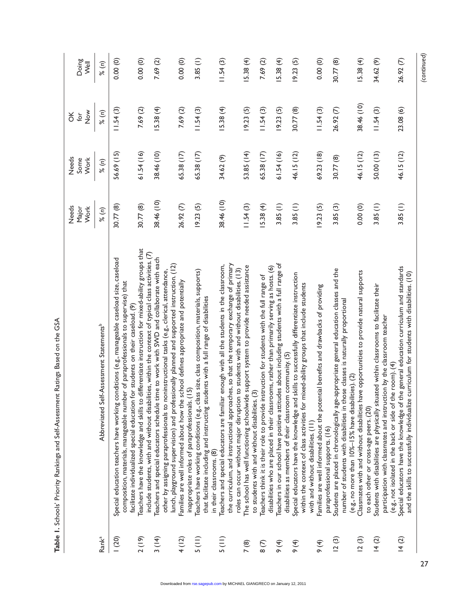|                          |                                                                                                                                                                                                                                                                                                  | <b>Needs</b><br>Work<br>Major | <b>Needs</b><br>Work<br>Some | Now<br>for<br>ŏ | Doing<br>Well |
|--------------------------|--------------------------------------------------------------------------------------------------------------------------------------------------------------------------------------------------------------------------------------------------------------------------------------------------|-------------------------------|------------------------------|-----------------|---------------|
| Rank <sup>a</sup>        | Abbreviated Self-Assessment Statements <sup>b</sup>                                                                                                                                                                                                                                              | % (n)                         | % (n)                        | % (n)           | % (n)         |
| (20)                     | Special education teachers have working conditions (e.g., manageable caseload size, caseload<br>composition, materials, manageable number of paraprofessionals to supervise) that<br>facilitate individualized special education for students on their caseload.(9)                              | 30.77 (8)                     | 56.69 (15)                   | 11.54(3)        | 0.00(0)       |
| (19)                     | Teachers have the knowledge and skills to differentiate instruction for mixed-ability groups that                                                                                                                                                                                                | 30.77 (8)                     | 61.54(16)                    | 7.69 (2)        | 0.00(0)       |
| 3(14)                    | include students, with and without disabilities, within the context of typical class activities. $(7)$<br>Teachers and special educators schedule time to work with SWD and collaborate with each<br>other by assigning paraprofessionals to noninstructional tasks (e.g., clerical, attendance, | 38.46 (10)                    | 38.46 (10)                   | 15.38(4)        | 7.69 (2)      |
| 4(12)                    | lunch, playground supervision) and professionally planned and supported instruction. (12)<br>Families are well informed about how the school defines appropriate and potentially<br>(15)<br>inappropriate roles of paraprofessionals.                                                            | 26.92(7)                      | 65.38 (17)                   | 7.69 (2)        | 0.00(0)       |
| 5(11)                    | Teachers have working conditions (e.g., class size, class composition, materials, supports)<br>that facilitate including and instructing students with a full range of disabilities<br>in their classrooms. (8)                                                                                  | 19.23(5)                      | 65.38 (17)                   | 11.54(3)        | 3.85(1)       |
| 5(11)                    | the curriculum, and instructional approaches, so that the temporary exchange of primary<br>Teachers and special educators are familiar enough with all the students in the classroom,<br>roles can occur without major disruption to students with and without disabilities. $(13)$              | 38.46 (10)                    | 34.62 (9)                    | 15.38(4)        | 11.54(3)      |
| (8)                      | The school has well functioning schoolwide support system to provide needed assistance                                                                                                                                                                                                           | 11.54(3)                      | 53.85 (14)                   | 19.23(5)        | 15.38(4)      |
| $\frac{8}{2}$            | Teachers think it is their role to provide instruction for students with the full range of<br>to students with and without disabilities. (3)                                                                                                                                                     | 15.38(4)                      | 65.38 (17)                   | 11.54(3)        | 7.69 (2)      |
| $\widetilde{\Theta}$     | Teachers in our school have positive attitudes about including students with a full range of<br>disabilities who are placed in their classrooms, rather than primarily serving as hosts. (6)                                                                                                     | 3.85(1)                       | 61.54(16)                    | 19.23(5)        | 15.38(4)      |
| $\Theta$ (4)             | skills to successfully differentiate instruction<br>within the context of class activities for mixed-ability groups that include students<br>disabilities as members of their classroom community. (5)<br>Special educators have the knowledge and<br>with and without disabilities. (11)        | 3.85(1)                       | 46.15 (12)                   | 30.77 (8)       | 19.23(5)      |
| $\widetilde{\Theta}$ (4) | Families are well informed about the potential benefits and drawbacks of providing                                                                                                                                                                                                               | 19.23(5)                      | 69.23(18)                    | 11.54(3)        | 0.00(0)       |
| 12(3)                    | Students are placed in chronologically age-appropriate general education classes and the<br>number of students with disabilities in those classes is naturally proportional<br>(e.g., no more than 10%-15% have disabilities). (2)<br>paraprofessional supports. (16)                            | 3.85(3)                       | 30.77 (8)                    | 26.92(7)        | 30.77 (8)     |
| 12(3)                    | Classmates with and without disabilities have opportunities to provide natural supports                                                                                                                                                                                                          | 0.00(0)                       | 46.15 (12)                   | 38.46 (10)      | 15.38(4)      |
| $\overline{14}$ (2)      | Students with disabilities are physically situated within classrooms to facilitate their<br>participation with classmates and instruction by the classroom teacher<br>(e.g., not isolated in the back or side of the room). (4)<br>to each other or cross-age peers. (20)                        | 3.85(1)                       | 50.00(13)                    | 11.54(3)        | 34.62 (9)     |
| 14(2)                    | Special educators have the knowledge of the general education curriculum and standards<br>curriculum for students with disabilities. (10)<br>and the skills to successfully individualize                                                                                                        | 3.85(1)                       | 46.15 (12)                   | 23.08 (6)       | 26.92(7)      |
|                          |                                                                                                                                                                                                                                                                                                  |                               |                              |                 | (continued)   |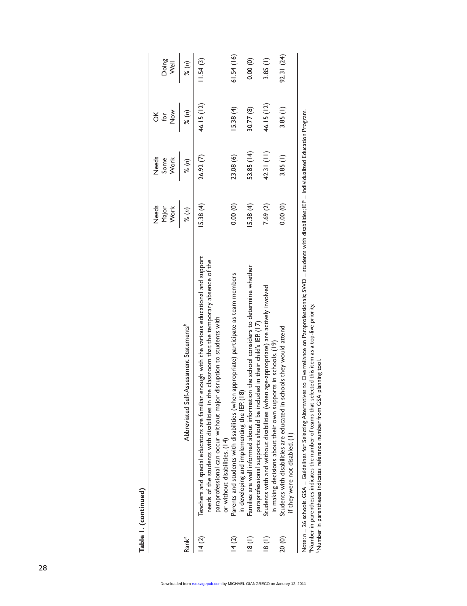|                   |                                                                                                                                                                                                                                                                                                                                                                      | Needs<br>Major<br>Work | <b>Needs</b><br>Some<br>Work | $\frac{8}{2}$<br>ă<br>Ĵ | Doing<br>Well |
|-------------------|----------------------------------------------------------------------------------------------------------------------------------------------------------------------------------------------------------------------------------------------------------------------------------------------------------------------------------------------------------------------|------------------------|------------------------------|-------------------------|---------------|
| Rank <sup>a</sup> | Abbreviated Self-Assessment Statementsb                                                                                                                                                                                                                                                                                                                              | % (n)                  | % (n)                        | % (n)                   | % (n)         |
| 14(2)             | Teachers and special educators are familiar enough with the various educational and support<br>needs of the students with disabilities in the classroom that the temporary absence of the<br>paraprofessional can occur without major disruption to students with                                                                                                    | 15.38(4)               | 26.92 (7)                    | 46.15 (12)              | 11.54(3)      |
| 14(2)             | Parents and students with disabilities (when appropriate) participate as team members<br>or without disabilities. (14)                                                                                                                                                                                                                                               | 0.00(0)                | 23.08 (6)                    | 15.38(4)                | 61.54 (16)    |
| $\frac{18}{18}$   | Families are well informed about information the school considers to determine whether<br>$\frac{3}{2}$<br>n developing and implementing the IEP.                                                                                                                                                                                                                    | 15.38(4)               | 53.85 (14)                   | 30.77 (8)               | 0.00(0)       |
| $\frac{18}{18}$   | Students with and without disabilities (when age-appropriate) are actively involved<br>paraprofessional supports should be included in their child's IEP. (17)                                                                                                                                                                                                       | 7.69 (2)               | 42.31 (11)                   | 46.15 (12)              | 3.85(1)       |
| 20 (0)            | Students with disabilities are educated in schools they would attend<br>in making decisions about their own supports in schools. (19)<br>if they were not disabled. (1)                                                                                                                                                                                              | 0.00(0)                | 3.85(1)                      | 3.85(1)                 | 92.31 (24)    |
|                   | Note: $n=26$ schools. GSA = Guidelines for Selecting Alternatives to Overreliance on Paraprofessionals; SWD = students with disabilities; IEP = Individualized Education Program.<br>Number in parentheses indicates the number of teams that selected this item as a top-five priority.<br>Number in parentheses indicates reference number from GSA planning tool. |                        |                              |                         |               |

Table 1. (continued) **Table 1. (continued)**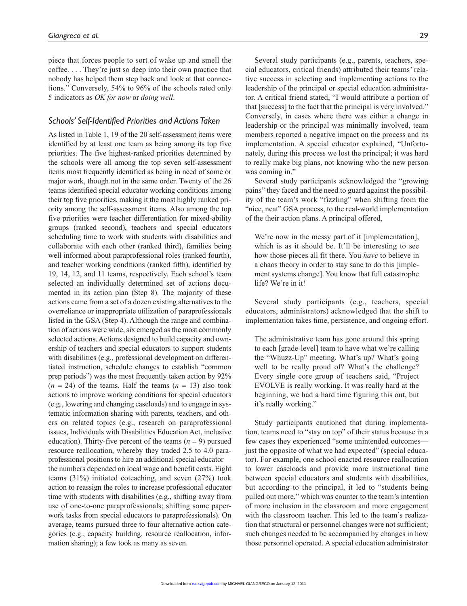piece that forces people to sort of wake up and smell the coffee. . . . They're just so deep into their own practice that nobody has helped them step back and look at that connections." Conversely, 54% to 96% of the schools rated only 5 indicators as *OK for now* or *doing well*.

### *Schools' Self-Identified Priorities and Actions Taken*

As listed in Table 1, 19 of the 20 self-assessment items were identified by at least one team as being among its top five priorities. The five highest-ranked priorities determined by the schools were all among the top seven self-assessment items most frequently identified as being in need of some or major work, though not in the same order. Twenty of the 26 teams identified special educator working conditions among their top five priorities, making it the most highly ranked priority among the self-assessment items. Also among the top five priorities were teacher differentiation for mixed-ability groups (ranked second), teachers and special educators scheduling time to work with students with disabilities and collaborate with each other (ranked third), families being well informed about paraprofessional roles (ranked fourth), and teacher working conditions (ranked fifth), identified by 19, 14, 12, and 11 teams, respectively. Each school's team selected an individually determined set of actions documented in its action plan (Step 8). The majority of these actions came from a set of a dozen existing alternatives to the overreliance or inappropriate utilization of paraprofessionals listed in the GSA (Step 4). Although the range and combination of actions were wide, six emerged as the most commonly selected actions. Actions designed to build capacity and ownership of teachers and special educators to support students with disabilities (e.g., professional development on differentiated instruction, schedule changes to establish "common prep periods") was the most frequently taken action by 92%  $(n = 24)$  of the teams. Half the teams  $(n = 13)$  also took actions to improve working conditions for special educators (e.g., lowering and changing caseloads) and to engage in systematic information sharing with parents, teachers, and others on related topics (e.g., research on paraprofessional issues, Individuals with Disabilities Education Act, inclusive education). Thirty-five percent of the teams  $(n = 9)$  pursued resource reallocation, whereby they traded 2.5 to 4.0 paraprofessional positions to hire an additional special educator the numbers depended on local wage and benefit costs. Eight teams (31%) initiated coteaching, and seven (27%) took action to reassign the roles to increase professional educator time with students with disabilities (e.g., shifting away from use of one-to-one paraprofessionals; shifting some paperwork tasks from special educators to paraprofessionals). On average, teams pursued three to four alternative action categories (e.g., capacity building, resource reallocation, information sharing); a few took as many as seven.

Several study participants (e.g., parents, teachers, special educators, critical friends) attributed their teams' relative success in selecting and implementing actions to the leadership of the principal or special education administrator. A critical friend stated, "I would attribute a portion of that [success] to the fact that the principal is very involved." Conversely, in cases where there was either a change in leadership or the principal was minimally involved, team members reported a negative impact on the process and its implementation. A special educator explained, "Unfortunately, during this process we lost the principal; it was hard to really make big plans, not knowing who the new person was coming in."

Several study participants acknowledged the "growing pains" they faced and the need to guard against the possibility of the team's work "fizzling" when shifting from the "nice, neat" GSA process, to the real-world implementation of the their action plans. A principal offered,

We're now in the messy part of it [implementation], which is as it should be. It'll be interesting to see how those pieces all fit there. You *have* to believe in a chaos theory in order to stay sane to do this [implement systems change]. You know that full catastrophe life? We're in it!

Several study participants (e.g., teachers, special educators, administrators) acknowledged that the shift to implementation takes time, persistence, and ongoing effort.

The administrative team has gone around this spring to each [grade-level] team to have what we're calling the "Whuzz-Up" meeting. What's up? What's going well to be really proud of? What's the challenge? Every single core group of teachers said, "Project EVOLVE is really working. It was really hard at the beginning, we had a hard time figuring this out, but it's really working."

Study participants cautioned that during implementation, teams need to "stay on top" of their status because in a few cases they experienced "some unintended outcomes just the opposite of what we had expected" (special educator). For example, one school enacted resource reallocation to lower caseloads and provide more instructional time between special educators and students with disabilities, but according to the principal, it led to "students being pulled out more," which was counter to the team's intention of more inclusion in the classroom and more engagement with the classroom teacher. This led to the team's realization that structural or personnel changes were not sufficient; such changes needed to be accompanied by changes in how those personnel operated. A special education administrator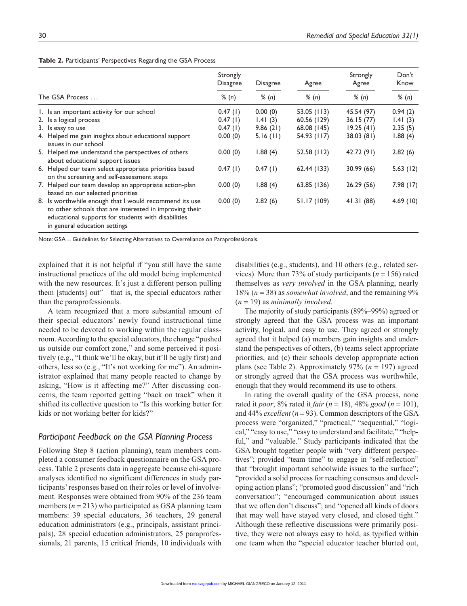|  | Table 2. Participants' Perspectives Regarding the GSA Process |  |  |  |  |  |
|--|---------------------------------------------------------------|--|--|--|--|--|
|--|---------------------------------------------------------------|--|--|--|--|--|

|                                                                                                                                                                                                           | Strongly<br><b>Disagree</b> | <b>Disagree</b> | Agree       | Strongly<br>Agree | Don't<br>Know |
|-----------------------------------------------------------------------------------------------------------------------------------------------------------------------------------------------------------|-----------------------------|-----------------|-------------|-------------------|---------------|
| The GSA Process                                                                                                                                                                                           | % (n)                       | $\%$ (n)        | % (n)       | % (n)             | % (n)         |
| 1. Is an important activity for our school                                                                                                                                                                | 0.47(1)                     | 0.00(0)         | 53.05(113)  | 45.54 (97)        | 0.94(2)       |
| 2. Is a logical process                                                                                                                                                                                   | 0.47(1)                     | 1.41(3)         | 60.56 (129) | 36.15(77)         | 1.41(3)       |
| 3. Is easy to use                                                                                                                                                                                         | 0.47(1)                     | 9.86(21)        | 68.08 (145) | 19.25(41)         | 2.35(5)       |
| 4. Helped me gain insights about educational support<br>issues in our school                                                                                                                              | 0.00(0)                     | 5.16(11)        | 54.93 (117) | 38.03 (81)        | 1.88(4)       |
| 5. Helped me understand the perspectives of others<br>about educational support issues                                                                                                                    | 0.00(0)                     | 1.88(4)         | 52.58 (112) | 42.72 (91)        | 2.82(6)       |
| 6. Helped our team select appropriate priorities based<br>on the screening and self-assessment steps                                                                                                      | 0.47(1)                     | 0.47(1)         | 62.44 (133) | 30.99(66)         | 5.63(12)      |
| 7. Helped our team develop an appropriate action-plan<br>based on our selected priorities                                                                                                                 | 0.00(0)                     | 1.88(4)         | 63.85 (136) | 26.29(56)         | 7.98(17)      |
| 8. Is worthwhile enough that I would recommend its use<br>to other schools that are interested in improving their<br>educational supports for students with disabilities<br>in general education settings | 0.00(0)                     | 2.82(6)         | 51.17 (109) | 41.31(88)         | 4.69(10)      |

Note: GSA = Guidelines for Selecting Alternatives to Overreliance on Paraprofessionals.

explained that it is not helpful if "you still have the same instructional practices of the old model being implemented with the new resources. It's just a different person pulling them [students] out"—that is, the special educators rather than the paraprofessionals.

A team recognized that a more substantial amount of their special educators' newly found instructional time needed to be devoted to working within the regular classroom. According to the special educators, the change "pushed us outside our comfort zone," and some perceived it positively (e.g., "I think we'll be okay, but it'll be ugly first) and others, less so (e.g., "It's not working for me"). An administrator explained that many people reacted to change by asking, "How is it affecting me?" After discussing concerns, the team reported getting "back on track" when it shifted its collective question to "Is this working better for kids or not working better for kids?"

### *Participant Feedback on the GSA Planning Process*

Following Step 8 (action planning), team members completed a consumer feedback questionnaire on the GSA process. Table 2 presents data in aggregate because chi-square analyses identified no significant differences in study participants' responses based on their roles or level of involvement. Responses were obtained from 90% of the 236 team members (*n* = 213) who participated as GSA planning team members: 39 special educators, 36 teachers, 29 general education administrators (e.g., principals, assistant principals), 28 special education administrators, 25 paraprofessionals, 21 parents, 15 critical friends, 10 individuals with disabilities (e.g., students), and 10 others (e.g., related services). More than 73% of study participants (*n* = 156) rated themselves as *very involved* in the GSA planning, nearly 18% (*n* = 38) as *somewhat involved*, and the remaining 9% (*n* = 19) as *minimally involved*.

The majority of study participants (89%–99%) agreed or strongly agreed that the GSA process was an important activity, logical, and easy to use. They agreed or strongly agreed that it helped (a) members gain insights and understand the perspectives of others, (b) teams select appropriate priorities, and (c) their schools develop appropriate action plans (see Table 2). Approximately 97% (*n* = 197) agreed or strongly agreed that the GSA process was worthwhile, enough that they would recommend its use to others.

In rating the overall quality of the GSA process, none rated it *poor*, 8% rated it *fair* (*n* = 18), 48% *good* (*n* = 101), and 44% *excellent* (*n* = 93). Common descriptors of the GSA process were "organized," "practical," "sequential," "logical," "easy to use," "easy to understand and facilitate," "helpful," and "valuable." Study participants indicated that the GSA brought together people with "very different perspectives"; provided "team time" to engage in "self-reflection" that "brought important schoolwide issues to the surface"; "provided a solid process for reaching consensus and developing action plans"; "promoted good discussion" and "rich conversation"; "encouraged communication about issues that we often don't discuss"; and "opened all kinds of doors that may well have stayed very closed, and closed tight." Although these reflective discussions were primarily positive, they were not always easy to hold, as typified within one team when the "special educator teacher blurted out,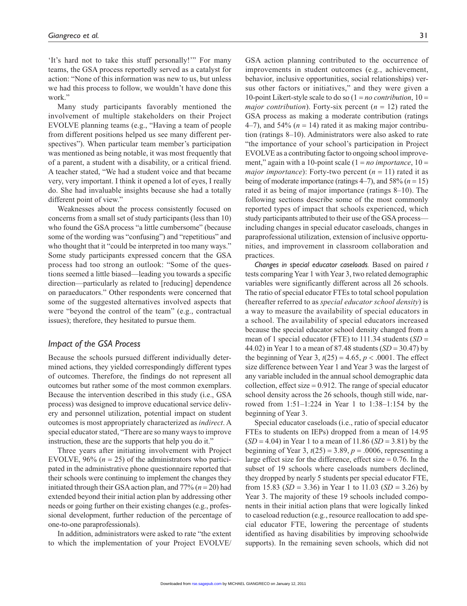'It's hard not to take this stuff personally!'" For many teams, the GSA process reportedly served as a catalyst for action: "None of this information was new to us, but unless we had this process to follow, we wouldn't have done this work."

Many study participants favorably mentioned the involvement of multiple stakeholders on their Project EVOLVE planning teams (e.g., "Having a team of people from different positions helped us see many different perspectives"). When particular team member's participation was mentioned as being notable, it was most frequently that of a parent, a student with a disability, or a critical friend. A teacher stated, "We had a student voice and that became very, very important. I think it opened a lot of eyes, I really do. She had invaluable insights because she had a totally different point of view."

Weaknesses about the process consistently focused on concerns from a small set of study participants (less than 10) who found the GSA process "a little cumbersome" (because some of the wording was "confusing") and "repetitious" and who thought that it "could be interpreted in too many ways." Some study participants expressed concern that the GSA process had too strong an outlook: "Some of the questions seemed a little biased—leading you towards a specific direction—particularly as related to [reducing] dependence on paraeducators." Other respondents were concerned that some of the suggested alternatives involved aspects that were "beyond the control of the team" (e.g., contractual issues); therefore, they hesitated to pursue them.

### *Impact of the GSA Process*

Because the schools pursued different individually determined actions, they yielded correspondingly different types of outcomes. Therefore, the findings do not represent all outcomes but rather some of the most common exemplars. Because the intervention described in this study (i.e., GSA process) was designed to improve educational service delivery and personnel utilization, potential impact on student outcomes is most appropriately characterized as *indirect*. A special educator stated, "There are so many ways to improve instruction, these are the supports that help you do it."

Three years after initiating involvement with Project EVOLVE,  $96\%$  ( $n = 25$ ) of the administrators who participated in the administrative phone questionnaire reported that their schools were continuing to implement the changes they initiated through their GSA action plan, and 77% (*n* = 20) had extended beyond their initial action plan by addressing other needs or going further on their existing changes (e.g., professional development, further reduction of the percentage of one-to-one paraprofessionals).

In addition, administrators were asked to rate "the extent to which the implementation of your Project EVOLVE/

GSA action planning contributed to the occurrence of improvements in student outcomes (e.g., achievement, behavior, inclusive opportunities, social relationships) versus other factors or initiatives," and they were given a 10-point Likert-style scale to do so (1 = *no contribution*, 10 = *major contribution*). Forty-six percent  $(n = 12)$  rated the GSA process as making a moderate contribution (ratings 4–7), and 54%  $(n = 14)$  rated it as making major contribution (ratings 8–10). Administrators were also asked to rate "the importance of your school's participation in Project EVOLVE as a contributing factor to ongoing school improvement," again with a 10-point scale  $(1 = no$  *importance*,  $10 =$ *major importance*): Forty-two percent  $(n = 11)$  rated it as being of moderate importance (ratings 4–7), and 58% (*n* = 15) rated it as being of major importance (ratings 8–10). The following sections describe some of the most commonly reported types of impact that schools experienced, which study participants attributed to their use of the GSA process including changes in special educator caseloads, changes in paraprofessional utilization, extension of inclusive opportunities, and improvement in classroom collaboration and practices.

*Changes in special educator caseloads.* Based on paired *t* tests comparing Year 1 with Year 3, two related demographic variables were significantly different across all 26 schools. The ratio of special educator FTEs to total school population (hereafter referred to as *special educator school density*) is a way to measure the availability of special educators in a school. The availability of special educators increased because the special educator school density changed from a mean of 1 special educator (FTE) to 111.34 students (*SD* = 44.02) in Year 1 to a mean of 87.48 students (*SD* = 30.47) by the beginning of Year 3,  $t(25) = 4.65$ ,  $p < .0001$ . The effect size difference between Year 1 and Year 3 was the largest of any variable included in the annual school demographic data collection, effect size  $= 0.912$ . The range of special educator school density across the 26 schools, though still wide, narrowed from 1:51–1:224 in Year 1 to 1:38–1:154 by the beginning of Year 3.

Special educator caseloads (i.e., ratio of special educator FTEs to students on IEPs) dropped from a mean of 14.95 (*SD* = 4.04) in Year 1 to a mean of 11.86 (*SD* = 3.81) by the beginning of Year 3,  $t(25) = 3.89$ ,  $p = .0006$ , representing a large effect size for the difference, effect size  $= 0.76$ . In the subset of 19 schools where caseloads numbers declined, they dropped by nearly 5 students per special educator FTE, from 15.83 (*SD* = 3.36) in Year 1 to 11.03 (*SD* = 3.26) by Year 3. The majority of these 19 schools included components in their initial action plans that were logically linked to caseload reduction (e.g., resource reallocation to add special educator FTE, lowering the percentage of students identified as having disabilities by improving schoolwide supports). In the remaining seven schools, which did not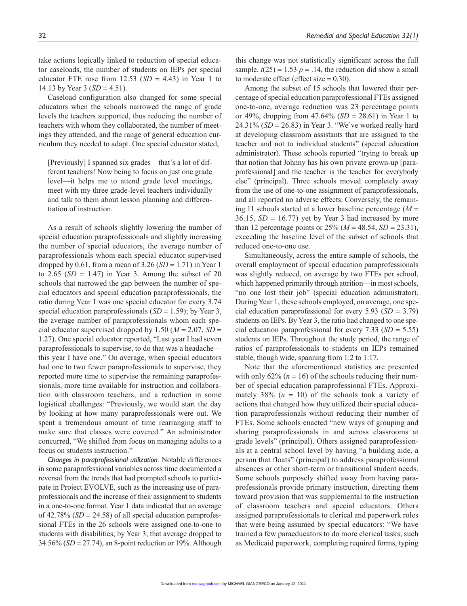14.13 by Year 3 (*SD* = 4.51). Caseload configuration also changed for some special educators when the schools narrowed the range of grade levels the teachers supported, thus reducing the number of teachers with whom they collaborated, the number of meetings they attended, and the range of general education curriculum they needed to adapt. One special educator stated,

[Previously] I spanned six grades—that's a lot of different teachers! Now being to focus on just one grade level—it helps me to attend grade level meetings, meet with my three grade-level teachers individually and talk to them about lesson planning and differentiation of instruction.

As a result of schools slightly lowering the number of special education paraprofessionals and slightly increasing the number of special educators, the average number of paraprofessionals whom each special educator supervised dropped by 0.61, from a mean of  $3.26$  (*SD* = 1.71) in Year 1 to  $2.65$  (*SD* = 1.47) in Year 3. Among the subset of 20 schools that narrowed the gap between the number of special educators and special education paraprofessionals, the ratio during Year 1 was one special educator for every 3.74 special education paraprofessionals (*SD* = 1.59); by Year 3, the average number of paraprofessionals whom each special educator supervised dropped by  $1.50 (M = 2.07, SD =$ 1.27). One special educator reported, "Last year I had seven paraprofessionals to supervise, to do that was a headache this year I have one." On average, when special educators had one to two fewer paraprofessionals to supervise, they reported more time to supervise the remaining paraprofessionals, more time available for instruction and collaboration with classroom teachers, and a reduction in some logistical challenges: "Previously, we would start the day by looking at how many paraprofessionals were out. We spent a tremendous amount of time rearranging staff to make sure that classes were covered." An administrator concurred, "We shifted from focus on managing adults to a focus on students instruction."

*Changes in paraprofessional utilization.* Notable differences in some paraprofessional variables across time documented a reversal from the trends that had prompted schools to participate in Project EVOLVE, such as the increasing use of paraprofessionals and the increase of their assignment to students in a one-to-one format. Year 1 data indicated that an average of  $42.78\%$  ( $SD = 24.58$ ) of all special education paraprofessional FTEs in the 26 schools were assigned one-to-one to students with disabilities; by Year 3, that average dropped to 34.56% (*SD* = 27.74), an 8-point reduction or 19%. Although this change was not statistically significant across the full sample,  $t(25) = 1.53$   $p = .14$ , the reduction did show a small to moderate effect (effect size  $= 0.30$ ).

Among the subset of 15 schools that lowered their percentage of special education paraprofessional FTEs assigned one-to-one, average reduction was 23 percentage points or 49%, dropping from 47.64% (*SD* = 28.61) in Year 1 to 24.31% (*SD* = 26.83) in Year 3. "We've worked really hard at developing classroom assistants that are assigned to the teacher and not to individual students" (special education administrator). These schools reported "trying to break up that notion that Johnny has his own private grown-up [paraprofessional] and the teacher is the teacher for everybody else" (principal). Three schools moved completely away from the use of one-to-one assignment of paraprofessionals, and all reported no adverse effects. Conversely, the remaining 11 schools started at a lower baseline percentage (*M* = 36.15,  $SD = 16.77$ ) yet by Year 3 had increased by more than 12 percentage points or  $25\%$  (*M* = 48.54, *SD* = 23.31), exceeding the baseline level of the subset of schools that reduced one-to-one use.

Simultaneously, across the entire sample of schools, the overall employment of special education paraprofessionals was slightly reduced, on average by two FTEs per school, which happened primarily through attrition—in most schools, "no one lost their job" (special education administrator). During Year 1, these schools employed, on average, one special education paraprofessional for every 5.93 (*SD* = 3.79) students on IEPs. By Year 3, the ratio had changed to one special education paraprofessional for every 7.33 (*SD* = 5.55) students on IEPs. Throughout the study period, the range of ratios of paraprofessionals to students on IEPs remained stable, though wide, spanning from 1:2 to 1:17.

Note that the aforementioned statistics are presented with only  $62\%$  ( $n = 16$ ) of the schools reducing their number of special education paraprofessional FTEs. Approximately 38%  $(n = 10)$  of the schools took a variety of actions that changed how they utilized their special education paraprofessionals without reducing their number of FTEs. Some schools enacted "new ways of grouping and sharing paraprofessionals in and across classrooms at grade levels" (principal). Others assigned paraprofessionals at a central school level by having "a building aide, a person that floats" (principal) to address paraprofessional absences or other short-term or transitional student needs. Some schools purposely shifted away from having paraprofessionals provide primary instruction, directing them toward provision that was supplemental to the instruction of classroom teachers and special educators. Others assigned paraprofessionals to clerical and paperwork roles that were being assumed by special educators: "We have trained a few paraeducators to do more clerical tasks, such as Medicaid paperwork, completing required forms, typing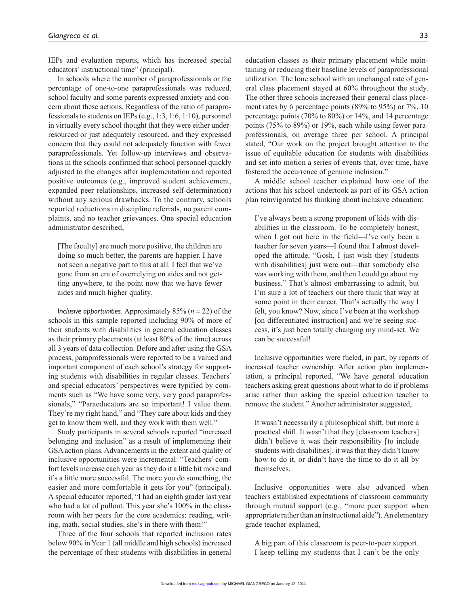IEPs and evaluation reports, which has increased special educators' instructional time" (principal).

In schools where the number of paraprofessionals or the percentage of one-to-one paraprofessionals was reduced, school faculty and some parents expressed anxiety and concern about these actions. Regardless of the ratio of paraprofessionals to students on IEPs (e.g., 1:3, 1:6, 1:10), personnel in virtually every school thought that they were either underresourced or just adequately resourced, and they expressed concern that they could not adequately function with fewer paraprofessionals. Yet follow-up interviews and observations in the schools confirmed that school personnel quickly adjusted to the changes after implementation and reported positive outcomes (e.g., improved student achievement, expanded peer relationships, increased self-determination) without any serious drawbacks. To the contrary, schools reported reductions in discipline referrals, no parent complaints, and no teacher grievances. One special education administrator described,

[The faculty] are much more positive, the children are doing so much better, the parents are happier. I have not seen a negative part to this at all. I feel that we've gone from an era of overrelying on aides and not getting anywhere, to the point now that we have fewer aides and much higher quality.

*Inclusive opportunities.* Approximately 85% ( $n = 22$ ) of the schools in this sample reported including 90% of more of their students with disabilities in general education classes as their primary placements (at least 80% of the time) across all 3 years of data collection. Before and after using the GSA process, paraprofessionals were reported to be a valued and important component of each school's strategy for supporting students with disabilities in regular classes. Teachers' and special educators' perspectives were typified by comments such as "We have some very, very good paraprofessionals," "Paraeducators are so important! I value them. They're my right hand," and "They care about kids and they get to know them well, and they work with them well."

Study participants in several schools reported "increased belonging and inclusion" as a result of implementing their GSA action plans. Advancements in the extent and quality of inclusive opportunities were incremental: "Teachers' comfort levels increase each year as they do it a little bit more and it's a little more successful. The more you do something, the easier and more comfortable it gets for you" (principal). A special educator reported, "I had an eighth grader last year who had a lot of pullout. This year she's 100% in the classroom with her peers for the core academics: reading, writing, math, social studies, she's in there with them!"

Three of the four schools that reported inclusion rates below 90% in Year 1 (all middle and high schools) increased the percentage of their students with disabilities in general

education classes as their primary placement while maintaining or reducing their baseline levels of paraprofessional utilization. The lone school with an unchanged rate of general class placement stayed at 60% throughout the study. The other three schools increased their general class placement rates by 6 percentage points (89% to 95%) or 7%, 10 percentage points (70% to 80%) or 14%, and 14 percentage points (75% to 89%) or 19%, each while using fewer paraprofessionals, on average three per school. A principal stated, "Our work on the project brought attention to the issue of equitable education for students with disabilities and set into motion a series of events that, over time, have fostered the occurrence of genuine inclusion."

A middle school teacher explained how one of the actions that his school undertook as part of its GSA action plan reinvigorated his thinking about inclusive education:

I've always been a strong proponent of kids with disabilities in the classroom. To be completely honest, when I got out here in the field—I've only been a teacher for seven years—I found that I almost developed the attitude, "Gosh, I just wish they [students with disabilities] just were out—that somebody else was working with them, and then I could go about my business." That's almost embarrassing to admit, but I'm sure a lot of teachers out there think that way at some point in their career. That's actually the way I felt, you know? Now, since I've been at the workshop [on differentiated instruction] and we're seeing success, it's just been totally changing my mind-set. We can be successful!

Inclusive opportunities were fueled, in part, by reports of increased teacher ownership. After action plan implementation, a principal reported, "We have general education teachers asking great questions about what to do if problems arise rather than asking the special education teacher to remove the student." Another administrator suggested,

It wasn't necessarily a philosophical shift, but more a practical shift. It wasn't that they [classroom teachers] didn't believe it was their responsibility [to include students with disabilities], it was that they didn't know how to do it, or didn't have the time to do it all by themselves.

Inclusive opportunities were also advanced when teachers established expectations of classroom community through mutual support (e.g., "more peer support when appropriate rather than an instructional aide"). An elementary grade teacher explained,

A big part of this classroom is peer-to-peer support. I keep telling my students that I can't be the only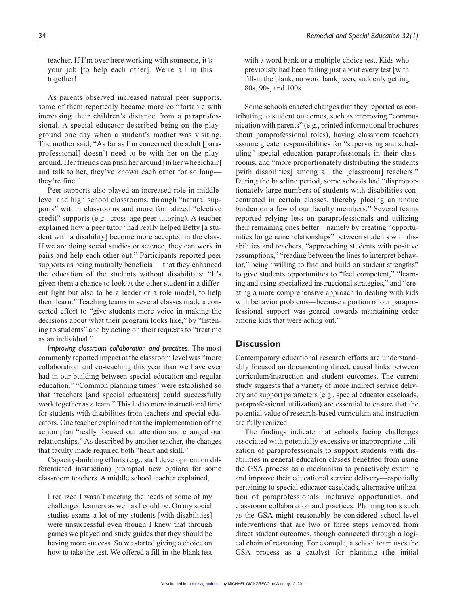teacher. If I'm over here working with someone, it's your job [to help each other]. We're all in this together!

As parents observed increased natural peer supports, some of them reportedly became more comfortable with increasing their children's distance from a paraprofessional. A special educator described being on the playground one day when a student's mother was visiting. The mother said, "As far as I'm concerned the adult [paraprofessional] doesn't need to be with her on the playground. Her friends can push her around [in her wheelchair] and talk to her, they've known each other for so long they're fine."

Peer supports also played an increased role in middlelevel and high school classrooms, through "natural supports" within classrooms and more formalized "elective credit" supports (e.g., cross-age peer tutoring). A teacher explained how a peer tutor "had really helped Betty [a student with a disability] become more accepted in the class. If we are doing social studies or science, they can work in pairs and help each other out." Participants reported peer supports as being mutually beneficial—that they enhanced the education of the students without disabilities: "It's given them a chance to look at the other student in a different light but also to be a leader or a role model, to help them learn." Teaching teams in several classes made a concerted effort to "give students more voice in making the decisions about what their program looks like," by "listening to students" and by acting on their requests to "treat me as an individual."

*Improving classroom collaboration and practices.* The most commonly reported impact at the classroom level was "more collaboration and co-teaching this year than we have ever had in our building between special education and regular education." "Common planning times" were established so that "teachers [and special educators] could successfully work together as a team." This led to more instructional time for students with disabilities from teachers and special educators. One teacher explained that the implementation of the action plan "really focused our attention and changed our relationships." As described by another teacher, the changes that faculty made required both "heart and skill."

Capacity-building efforts (e.g., staff development on differentiated instruction) prompted new options for some classroom teachers. A middle school teacher explained,

I realized I wasn't meeting the needs of some of my challenged learners as well as I could be. On my social studies exams a lot of my students [with disabilities] were unsuccessful even though I knew that through games we played and study guides that they should be having more success. So we started giving a choice on how to take the test. We offered a fill-in-the-blank test with a word bank or a multiple-choice test. Kids who previously had been failing just about every test [with fill-in the blank, no word bank] were suddenly getting 80s, 90s, and 100s.

Some schools enacted changes that they reported as contributing to student outcomes, such as improving "communication with parents" (e.g., printed informational brochures about paraprofessional roles), having classroom teachers assume greater responsibilities for "supervising and scheduling" special education paraprofessionals in their classrooms, and "more proportionately distributing the students [with disabilities] among all the [classroom] teachers." During the baseline period, some schools had "disproportionately large numbers of students with disabilities concentrated in certain classes, thereby placing an undue burden on a few of our faculty members." Several teams reported relying less on paraprofessionals and utilizing their remaining ones better—namely by creating "opportunities for genuine relationships" between students with disabilities and teachers, "approaching students with positive assumptions," "reading between the lines to interpret behavior," being "willing to find and build on student strengths" to give students opportunities to "feel competent," "learning and using specialized instructional strategies," and "creating a more comprehensive approach to dealing with kids with behavior problems—because a portion of our paraprofessional support was geared towards maintaining order among kids that were acting out."

## **Discussion**

Contemporary educational research efforts are understandably focused on documenting direct, causal links between curriculum/instruction and student outcomes. The current study suggests that a variety of more indirect service delivery and support parameters (e.g., special educator caseloads, paraprofessional utilization) are essential to ensure that the potential value of research-based curriculum and instruction are fully realized.

The findings indicate that schools facing challenges associated with potentially excessive or inappropriate utilization of paraprofessionals to support students with disabilities in general education classes benefited from using the GSA process as a mechanism to proactively examine and improve their educational service delivery—especially pertaining to special educator caseloads, alternative utilization of paraprofessionals, inclusive opportunities, and classroom collaboration and practices. Planning tools such as the GSA might reasonably be considered school-level interventions that are two or three steps removed from direct student outcomes, though connected through a logical chain of reasoning. For example, a school team uses the GSA process as a catalyst for planning (the initial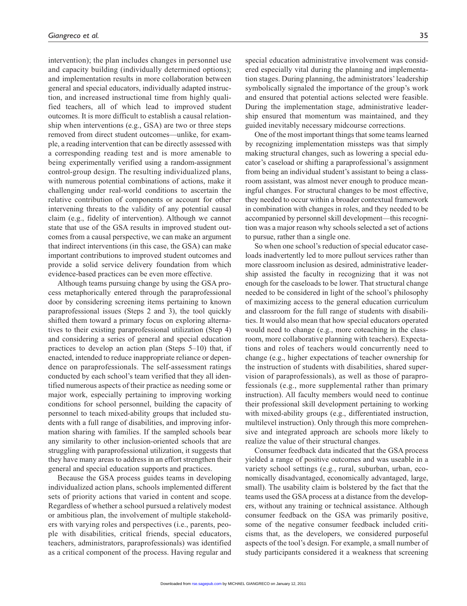intervention); the plan includes changes in personnel use and capacity building (individually determined options); and implementation results in more collaboration between general and special educators, individually adapted instruction, and increased instructional time from highly qualified teachers, all of which lead to improved student outcomes. It is more difficult to establish a causal relationship when interventions (e.g., GSA) are two or three steps removed from direct student outcomes—unlike, for example, a reading intervention that can be directly assessed with a corresponding reading test and is more amenable to being experimentally verified using a random-assignment control-group design. The resulting individualized plans, with numerous potential combinations of actions, make it challenging under real-world conditions to ascertain the relative contribution of components or account for other intervening threats to the validity of any potential causal claim (e.g., fidelity of intervention). Although we cannot state that use of the GSA results in improved student outcomes from a causal perspective, we can make an argument that indirect interventions (in this case, the GSA) can make important contributions to improved student outcomes and provide a solid service delivery foundation from which evidence-based practices can be even more effective.

Although teams pursuing change by using the GSA process metaphorically entered through the paraprofessional door by considering screening items pertaining to known paraprofessional issues (Steps 2 and 3), the tool quickly shifted them toward a primary focus on exploring alternatives to their existing paraprofessional utilization (Step 4) and considering a series of general and special education practices to develop an action plan (Steps 5–10) that, if enacted, intended to reduce inappropriate reliance or dependence on paraprofessionals. The self-assessment ratings conducted by each school's team verified that they all identified numerous aspects of their practice as needing some or major work, especially pertaining to improving working conditions for school personnel, building the capacity of personnel to teach mixed-ability groups that included students with a full range of disabilities, and improving information sharing with families. If the sampled schools bear any similarity to other inclusion-oriented schools that are struggling with paraprofessional utilization, it suggests that they have many areas to address in an effort strengthen their general and special education supports and practices.

Because the GSA process guides teams in developing individualized action plans, schools implemented different sets of priority actions that varied in content and scope. Regardless of whether a school pursued a relatively modest or ambitious plan, the involvement of multiple stakeholders with varying roles and perspectives (i.e., parents, people with disabilities, critical friends, special educators, teachers, administrators, paraprofessionals) was identified as a critical component of the process. Having regular and

special education administrative involvement was considered especially vital during the planning and implementation stages. During planning, the administrators' leadership symbolically signaled the importance of the group's work and ensured that potential actions selected were feasible. During the implementation stage, administrative leadership ensured that momentum was maintained, and they guided inevitably necessary midcourse corrections.

One of the most important things that some teams learned by recognizing implementation missteps was that simply making structural changes, such as lowering a special educator's caseload or shifting a paraprofessional's assignment from being an individual student's assistant to being a classroom assistant, was almost never enough to produce meaningful changes. For structural changes to be most effective, they needed to occur within a broader contextual framework in combination with changes in roles, and they needed to be accompanied by personnel skill development—this recognition was a major reason why schools selected a set of actions to pursue, rather than a single one.

So when one school's reduction of special educator caseloads inadvertently led to more pullout services rather than more classroom inclusion as desired, administrative leadership assisted the faculty in recognizing that it was not enough for the caseloads to be lower. That structural change needed to be considered in light of the school's philosophy of maximizing access to the general education curriculum and classroom for the full range of students with disabilities. It would also mean that how special educators operated would need to change (e.g., more coteaching in the classroom, more collaborative planning with teachers). Expectations and roles of teachers would concurrently need to change (e.g., higher expectations of teacher ownership for the instruction of students with disabilities, shared supervision of paraprofessionals), as well as those of paraprofessionals (e.g., more supplemental rather than primary instruction). All faculty members would need to continue their professional skill development pertaining to working with mixed-ability groups (e.g., differentiated instruction, multilevel instruction). Only through this more comprehensive and integrated approach are schools more likely to realize the value of their structural changes.

Consumer feedback data indicated that the GSA process yielded a range of positive outcomes and was useable in a variety school settings (e.g., rural, suburban, urban, economically disadvantaged, economically advantaged, large, small). The usability claim is bolstered by the fact that the teams used the GSA process at a distance from the developers, without any training or technical assistance. Although consumer feedback on the GSA was primarily positive, some of the negative consumer feedback included criticisms that, as the developers, we considered purposeful aspects of the tool's design. For example, a small number of study participants considered it a weakness that screening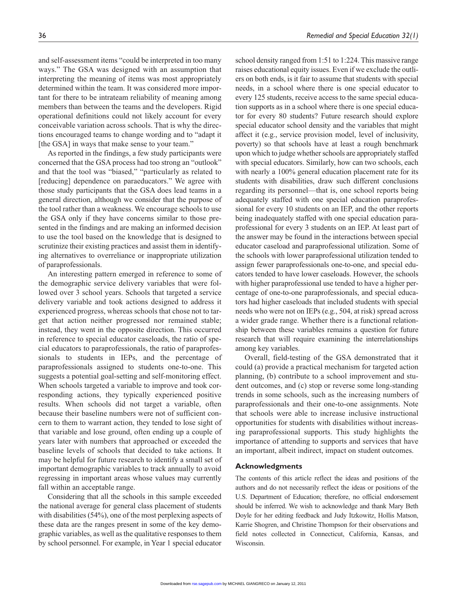and self-assessment items "could be interpreted in too many ways." The GSA was designed with an assumption that interpreting the meaning of items was most appropriately determined within the team. It was considered more important for there to be intrateam reliability of meaning among members than between the teams and the developers. Rigid operational definitions could not likely account for every conceivable variation across schools. That is why the directions encouraged teams to change wording and to "adapt it [the GSA] in ways that make sense to your team."

As reported in the findings, a few study participants were concerned that the GSA process had too strong an "outlook" and that the tool was "biased," "particularly as related to [reducing] dependence on paraeducators." We agree with those study participants that the GSA does lead teams in a general direction, although we consider that the purpose of the tool rather than a weakness. We encourage schools to use the GSA only if they have concerns similar to those presented in the findings and are making an informed decision to use the tool based on the knowledge that is designed to scrutinize their existing practices and assist them in identifying alternatives to overreliance or inappropriate utilization of paraprofessionals.

An interesting pattern emerged in reference to some of the demographic service delivery variables that were followed over 3 school years. Schools that targeted a service delivery variable and took actions designed to address it experienced progress, whereas schools that chose not to target that action neither progressed nor remained stable; instead, they went in the opposite direction. This occurred in reference to special educator caseloads, the ratio of special educators to paraprofessionals, the ratio of paraprofessionals to students in IEPs, and the percentage of paraprofessionals assigned to students one-to-one. This suggests a potential goal-setting and self-monitoring effect. When schools targeted a variable to improve and took corresponding actions, they typically experienced positive results. When schools did not target a variable, often because their baseline numbers were not of sufficient concern to them to warrant action, they tended to lose sight of that variable and lose ground, often ending up a couple of years later with numbers that approached or exceeded the baseline levels of schools that decided to take actions. It may be helpful for future research to identify a small set of important demographic variables to track annually to avoid regressing in important areas whose values may currently fall within an acceptable range.

Considering that all the schools in this sample exceeded the national average for general class placement of students with disabilities (54%), one of the most perplexing aspects of these data are the ranges present in some of the key demographic variables, as well as the qualitative responses to them by school personnel. For example, in Year 1 special educator school density ranged from 1:51 to 1:224. This massive range raises educational equity issues. Even if we exclude the outliers on both ends, is it fair to assume that students with special needs, in a school where there is one special educator to every 125 students, receive access to the same special education supports as in a school where there is one special educator for every 80 students? Future research should explore special educator school density and the variables that might affect it (e.g., service provision model, level of inclusivity, poverty) so that schools have at least a rough benchmark upon which to judge whether schools are appropriately staffed with special educators. Similarly, how can two schools, each with nearly a  $100\%$  general education placement rate for its students with disabilities, draw such different conclusions regarding its personnel—that is, one school reports being adequately staffed with one special education paraprofessional for every 10 students on an IEP, and the other reports being inadequately staffed with one special education paraprofessional for every 3 students on an IEP. At least part of the answer may be found in the interactions between special educator caseload and paraprofessional utilization. Some of the schools with lower paraprofessional utilization tended to assign fewer paraprofessionals one-to-one, and special educators tended to have lower caseloads. However, the schools with higher paraprofessional use tended to have a higher percentage of one-to-one paraprofessionals, and special educators had higher caseloads that included students with special needs who were not on IEPs (e.g., 504, at risk) spread across a wider grade range. Whether there is a functional relationship between these variables remains a question for future research that will require examining the interrelationships among key variables.

Overall, field-testing of the GSA demonstrated that it could (a) provide a practical mechanism for targeted action planning, (b) contribute to a school improvement and student outcomes, and (c) stop or reverse some long-standing trends in some schools, such as the increasing numbers of paraprofessionals and their one-to-one assignments. Note that schools were able to increase inclusive instructional opportunities for students with disabilities without increasing paraprofessional supports. This study highlights the importance of attending to supports and services that have an important, albeit indirect, impact on student outcomes.

### **Acknowledgments**

The contents of this article reflect the ideas and positions of the authors and do not necessarily reflect the ideas or positions of the U.S. Department of Education; therefore, no official endorsement should be inferred. We wish to acknowledge and thank Mary Beth Doyle for her editing feedback and Judy Itzkowitz, Hollis Matson, Karrie Shogren, and Christine Thompson for their observations and field notes collected in Connecticut, California, Kansas, and Wisconsin.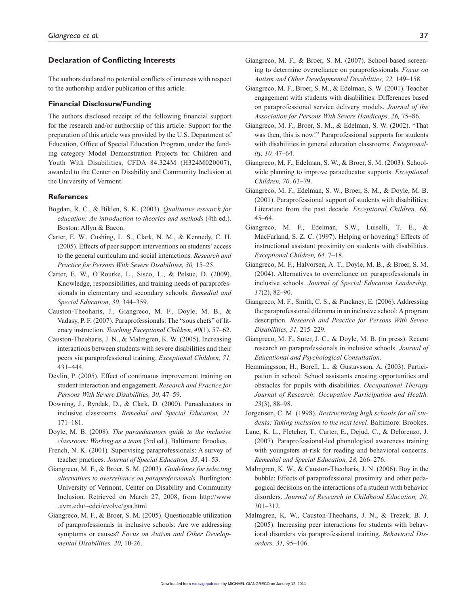#### **Declaration of Conflicting Interests**

The authors declared no potential conflicts of interests with respect to the authorship and/or publication of this article.

### **Financial Disclosure/Funding**

The authors disclosed receipt of the following financial support for the research and/or authorship of this article: Support for the preparation of this article was provided by the U.S. Department of Education, Office of Special Education Program, under the funding category Model Demonstration Projects for Children and Youth With Disabilities, CFDA 84.324M (H324M020007), awarded to the Center on Disability and Community Inclusion at the University of Vermont.

#### **References**

- Bogdan, R. C., & Biklen, S. K. (2003). *Qualitative research for education: An introduction to theories and methods* (4th ed.). Boston: Allyn & Bacon.
- Carter, E. W., Cushing, L. S., Clark, N. M., & Kennedy, C. H. (2005). Effects of peer support interventions on students' access to the general curriculum and social interactions. *Research and Practice for Persons With Severe Disabilities, 30,* 15–25.
- Carter, E. W., O'Rourke, L., Sisco, L., & Pelsue, D. (2009). Knowledge, responsibilities, and training needs of paraprofessionals in elementary and secondary schools. *Remedial and Special Education*, *30*, 344–359.
- Causton-Theoharis, J., Giangreco, M. F., Doyle, M. B., & Vadasy, P. F. (2007). Paraprofessionals: The "sous chefs" of literacy instruction. *Teaching Exceptional Children, 40*(1), 57–62.
- Causton-Theoharis, J. N., & Malmgren, K. W. (2005). Increasing interactions between students with severe disabilities and their peers via paraprofessional training. *Exceptional Children, 71,*  431–444*.*
- Devlin, P. (2005). Effect of continuous improvement training on student interaction and engagement. *Research and Practice for Persons With Severe Disabilities, 30,* 47–59.
- Downing, J., Ryndak, D., & Clark, D. (2000). Paraeducators in inclusive classrooms. *Remedial and Special Education, 21,*  171–181.
- Doyle, M. B. (2008). *The paraeducators guide to the inclusive classroom: Working as a team* (3rd ed.). Baltimore: Brookes.
- French, N. K. (2001)*.* Supervising paraprofessionals: A survey of teacher practices. *Journal of Special Education, 35,* 41–53.
- Giangreco, M. F., & Broer, S. M. (2003). *Guidelines for selecting alternatives to overreliance on paraprofessionals.* Burlington: University of Vermont, Center on Disability and Community Inclusion. Retrieved on March 27, 2008, from http://www .uvm.edu/~cdci/evolve/gsa.html
- Giangreco, M. F., & Broer, S. M. (2005). Questionable utilization of paraprofessionals in inclusive schools: Are we addressing symptoms or causes? *Focus on Autism and Other Developmental Disabilities, 20,* 10-26.
- Giangreco, M. F., & Broer, S. M. (2007). School-based screening to determine overreliance on paraprofessionals. *Focus on Autism and Other Developmental Disabilities, 22,* 149–158.
- Giangreco, M. F., Broer, S. M., & Edelman, S. W. (2001). Teacher engagement with students with disabilities: Differences based on paraprofessional service delivery models. *Journal of the Association for Persons With Severe Handicaps, 26,* 75–86.
- Giangreco, M. F., Broer, S. M., & Edelman, S. W. (2002). "That was then, this is now!" Paraprofessional supports for students with disabilities in general education classrooms. *Exceptionality, 10,* 47–64.
- Giangreco, M. F., Edelman, S. W., & Broer, S. M. (2003). Schoolwide planning to improve paraeducator supports. *Exceptional Children, 70,* 63–79.
- Giangreco, M. F., Edelman, S. W., Broer, S. M., & Doyle, M. B. (2001). Paraprofessional support of students with disabilities: Literature from the past decade. *Exceptional Children, 68,*  45–64.
- Giangreco, M. F., Edelman, S.W., Luiselli, T. E., & MacFarland, S. Z. C. (1997). Helping or hovering? Effects of instructional assistant proximity on students with disabilities. *Exceptional Children, 64,* 7–18.
- Giangreco, M. F., Halvorsen, A. T., Doyle, M. B., & Broer, S. M. (2004). Alternatives to overreliance on paraprofessionals in inclusive schools. *Journal of Special Education Leadership, 17*(2), 82–90.
- Giangreco, M. F., Smith, C. S., & Pinckney, E. (2006). Addressing the paraprofessional dilemma in an inclusive school: A program description. *Research and Practice for Persons With Severe Disabilities, 31,* 215–229.
- Giangreco, M. F., Suter, J. C., & Doyle, M. B. (in press). Recent research on paraprofessionals in inclusive schools. *Journal of Educational and Psychological Consultation*.
- Hemmingsson, H., Borell, L., & Gustavsson, A. (2003). Participation in school: School assistants creating opportunities and obstacles for pupils with disabilities. *Occupational Therapy Journal of Research: Occupation Participation and Health, 23*(3), 88–98.
- Jorgensen, C. M. (1998). *Restructuring high schools for all students: Taking inclusion to the next level*. Baltimore: Brookes.
- Lane, K. L., Fletcher, T., Carter, E., Dejud, C., & Delorenzo, J. (2007). Paraprofessional-led phonological awareness training with youngsters at-risk for reading and behavioral concerns. *Remedial and Special Education, 28,* 266–276.
- Malmgren, K. W., & Causton-Theoharis, J. N. (2006). Boy in the bubble: Effects of paraprofessional proximity and other pedagogical decisions on the interactions of a student with behavior disorders. *Journal of Research in Childhood Education, 20,*  301–312*.*
- Malmgren, K. W., Causton-Theoharis, J. N., & Trezek, B. J. (2005). Increasing peer interactions for students with behavioral disorders via paraprofessional training. *Behavioral Disorders, 31,* 95–106.